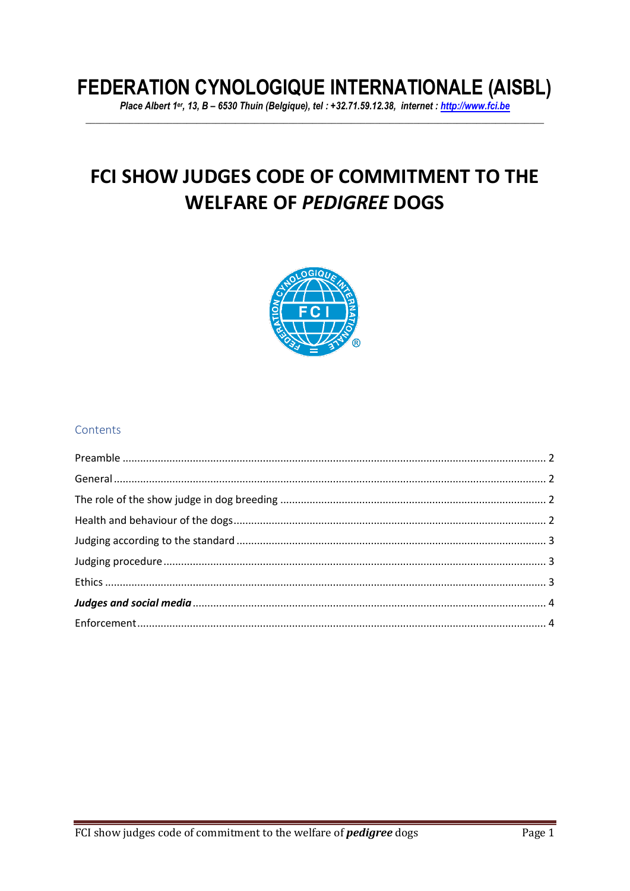## FEDERATION CYNOLOGIQUE INTERNATIONALE (AISBL)

Place Albert 1<sup>er</sup>, 13, B - 6530 Thuin (Belgique), tel: +32.71.59.12.38, internet: http://www.fci.be

# FCI SHOW JUDGES CODE OF COMMITMENT TO THE **WELFARE OF PEDIGREE DOGS**



## Contents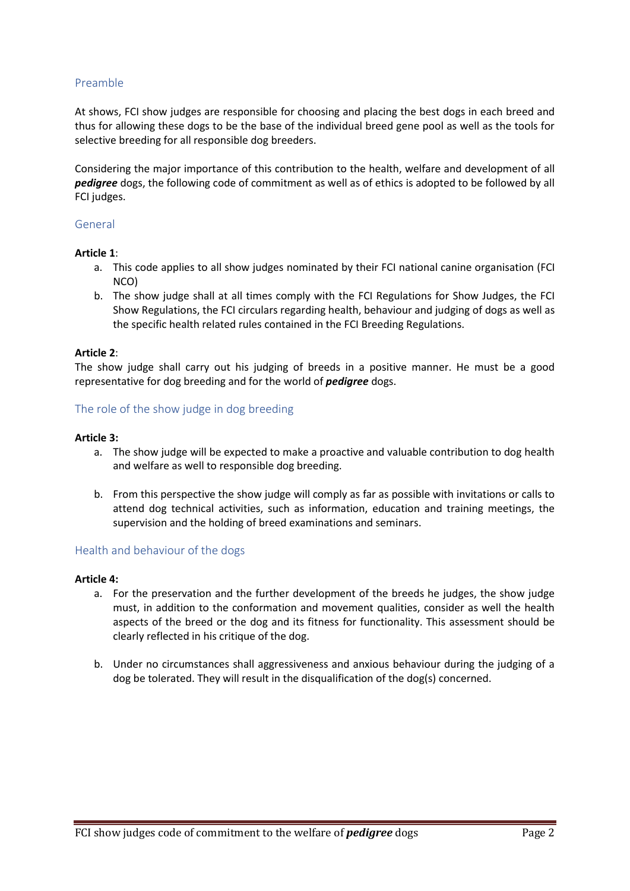### <span id="page-1-0"></span>Preamble

At shows, FCI show judges are responsible for choosing and placing the best dogs in each breed and thus for allowing these dogs to be the base of the individual breed gene pool as well as the tools for selective breeding for all responsible dog breeders.

Considering the major importance of this contribution to the health, welfare and development of all *pedigree* dogs, the following code of commitment as well as of ethics is adopted to be followed by all FCI judges.

#### <span id="page-1-1"></span>General

#### **Article 1**:

- a. This code applies to all show judges nominated by their FCI national canine organisation (FCI NCO)
- b. The show judge shall at all times comply with the FCI Regulations for Show Judges, the FCI Show Regulations, the FCI circulars regarding health, behaviour and judging of dogs as well as the specific health related rules contained in the FCI Breeding Regulations.

#### **Article 2**:

The show judge shall carry out his judging of breeds in a positive manner. He must be a good representative for dog breeding and for the world of *pedigree* dogs.

#### <span id="page-1-2"></span>The role of the show judge in dog breeding

#### **Article 3:**

- a. The show judge will be expected to make a proactive and valuable contribution to dog health and welfare as well to responsible dog breeding.
- b. From this perspective the show judge will comply as far as possible with invitations or calls to attend dog technical activities, such as information, education and training meetings, the supervision and the holding of breed examinations and seminars.

## <span id="page-1-3"></span>Health and behaviour of the dogs

#### **Article 4:**

- a. For the preservation and the further development of the breeds he judges, the show judge must, in addition to the conformation and movement qualities, consider as well the health aspects of the breed or the dog and its fitness for functionality. This assessment should be clearly reflected in his critique of the dog.
- b. Under no circumstances shall aggressiveness and anxious behaviour during the judging of a dog be tolerated. They will result in the disqualification of the dog(s) concerned.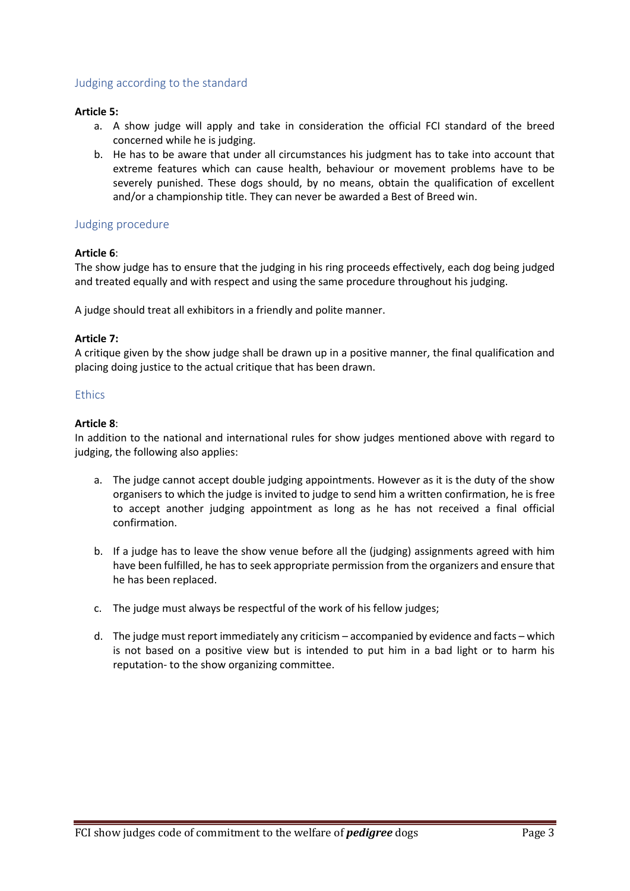## <span id="page-2-0"></span>Judging according to the standard

#### **Article 5:**

- a. A show judge will apply and take in consideration the official FCI standard of the breed concerned while he is judging.
- b. He has to be aware that under all circumstances his judgment has to take into account that extreme features which can cause health, behaviour or movement problems have to be severely punished. These dogs should, by no means, obtain the qualification of excellent and/or a championship title. They can never be awarded a Best of Breed win.

#### <span id="page-2-1"></span>Judging procedure

#### **Article 6**:

The show judge has to ensure that the judging in his ring proceeds effectively, each dog being judged and treated equally and with respect and using the same procedure throughout his judging.

A judge should treat all exhibitors in a friendly and polite manner.

#### **Article 7:**

A critique given by the show judge shall be drawn up in a positive manner, the final qualification and placing doing justice to the actual critique that has been drawn.

#### <span id="page-2-2"></span>**Ethics**

#### **Article 8**:

In addition to the national and international rules for show judges mentioned above with regard to judging, the following also applies:

- a. The judge cannot accept double judging appointments. However as it is the duty of the show organisers to which the judge is invited to judge to send him a written confirmation, he is free to accept another judging appointment as long as he has not received a final official confirmation.
- b. If a judge has to leave the show venue before all the (judging) assignments agreed with him have been fulfilled, he has to seek appropriate permission from the organizers and ensure that he has been replaced.
- c. The judge must always be respectful of the work of his fellow judges;
- d. The judge must report immediately any criticism accompanied by evidence and facts which is not based on a positive view but is intended to put him in a bad light or to harm his reputation- to the show organizing committee.